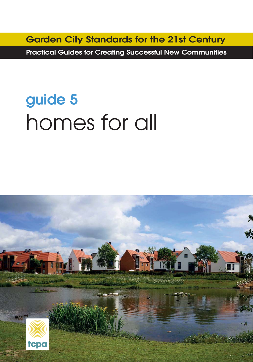**Garden City Standards for the 21st Century**

**Practical Guides for Creating Successful New Communities**

# **guide 5** homes for all

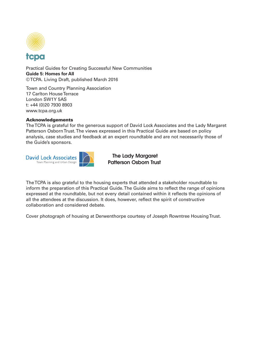

Practical Guides for Creating Successful New Communities **Guide 5: Homes for All** © TCPA. Living Draft, published March 2016

Town and Country Planning Association 17 Carlton House Terrace London SW1Y 5AS t: +44 (0)20 7930 8903 www.tcpa.org.uk

#### **Acknowledgements**

The TCPA is grateful for the generous support of David Lock Associates and the Lady Margaret Patterson Osborn Trust. The views expressed in this Practical Guide are based on policy analysis, case studies and feedback at an expert roundtable and are not necessarily those of the Guide's sponsors.



**The Lady Margaret Patterson Osborn Trust**

The TCPA is also grateful to the housing experts that attended a stakeholder roundtable to inform the preparation of this Practical Guide. The Guide aims to reflect the range of opinions expressed at the roundtable, but not every detail contained within it reflects the opinions of all the attendees at the discussion. It does, however, reflect the spirit of constructive collaboration and considered debate.

Cover photograph of housing at Derwenthorpe courtesy of Joseph Rowntree Housing Trust.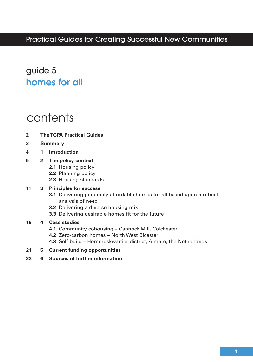### guide 5 **homes for all**

### contents

- **The TCPA Practical Guides 2**
- **Summary 3**
- **1 Introduction 4**

#### **2 The policy context 5**

- **2.1** Housing policy
- **2.2** Planning policy
- **2.3** Housing standards

#### **3 Principles for success 11**

- **3.1** Delivering genuinely affordable homes for all based upon a robust analysis of need
- **3.2** Delivering a diverse housing mix
- **3.3** Delivering desirable homes fit for the future

#### **4 Case studies 18**

- **4.1** Community cohousing Cannock Mill, Colchester
- **4.2** Zero-carbon homes North West Bicester
- **4.3** Self-build Homeruskwartier district, Almere, the Netherlands
- **5 Current funding opportunities 21**
- **6 Sources of further information 22**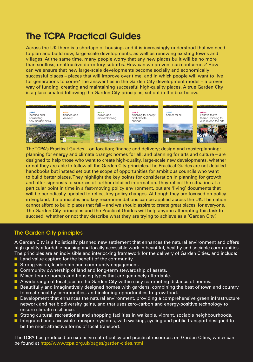### **The TCPA Practical Guides**

Across the UK there is a shortage of housing, and it is increasingly understood that we need to plan and build new, large-scale developments, as well as renewing existing towns and villages. At the same time, many people worry that any new places built will be no more than soulless, unattractive dormitory suburbs. How can we prevent such outcomes? How can we ensure that new large-scale developments become socially and economically successful places – places that will improve over time, and in which people will want to live for generations to come? The answer lies in the Garden City development model – a proven way of funding, creating and maintaining successful high-quality places. A true Garden City is a place created following the Garden City principles, set out in the box below.



The TCPA's Practical Guides – on location; finance and delivery; design and masterplanning; planning for energy and climate change; homes for all; and planning for arts and culture – are designed to help those who want to create high-quality, large-scale new developments, whether or not they are able to follow all the Garden City principles. The Practical Guides are not detailed handbooks but instead set out the scope of opportunities for ambitious councils who want to build better places. They highlight the key points for consideration in planning for growth and offer signposts to sources of further detailed information. They reflect the situation at a particular point in time in a fast-moving policy environment, but are 'living' documents that will be periodically updated to reflect key policy changes. Although they are focused on policy in England, the principles and key recommendations can be applied across the UK. The nation cannot afford to build places that fail – and we should aspire to create great places, for everyone. The Garden City principles and the Practical Guides will help anyone attempting this task to succeed, whether or not they describe what they are trying to achieve as a 'Garden City'.

#### **The Garden City principles**

A Garden City is a holistically planned new settlement that enhances the natural environment and offers high-quality affordable housing and locally accessible work in beautiful, healthy and sociable communities. The principles are an indivisible and interlocking framework for the delivery of Garden Cities, and include:

- Land value capture for the benefit of the community.
- Strong vision, leadership and community engagement.
- Community ownership of land and long-term stewardship of assets.
- Mixed-tenure homes and housing types that are genuinely affordable.
- A wide range of local jobs in the Garden City within easy commuting distance of homes.
- Beautifully and imaginatively designed homes with gardens, combining the best of town and country to create healthy communities, and including opportunities to grow food.
- Development that enhances the natural environment, providing a comprehensive green infrastructure network and net biodiversity gains, and that uses zero-carbon and energy-positive technology to ensure climate resilience.
- Strong cultural, recreational and shopping facilities in walkable, vibrant, sociable neighbourhoods.
- Integrated and accessible transport systems, with walking, cycling and public transport designed to be the most attractive forms of local transport.

The TCPA has produced an extensive set of policy and practical resources on Garden Cities, which can be found at http://www.tcpa.org.uk/pages/garden-cities.html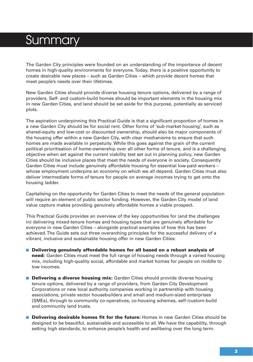## **Summary**

The Garden City principles were founded on an understanding of the importance of decent homes in high-quality environments for everyone. Today, there is a positive opportunity to create desirable new places – such as Garden Cities – which provide decent homes that meet people's needs over their lifetimes.

New Garden Cities should provide diverse housing tenure options, delivered by a range of providers. Self- and custom-build homes should be important elements in the housing mix in new Garden Cities, and land should be set aside for this purpose, potentially as serviced plots.

The aspiration underpinning this Practical Guide is that a significant proportion of homes in a new Garden City should be for social rent. Other forms of 'sub-market housing', such as shared-equity and low-cost or discounted ownership, should also be major components of the housing offer within a new Garden City, with clear mechanisms to ensure that such homes are made available in perpetuity. While this goes against the grain of the current political prioritisation of home-ownership over all other forms of tenure, and is a challenging objective when set against the current viability test set out in planning policy, new Garden Cities should be inclusive places that meet the needs of everyone in society. Consequently Garden Cities must include genuinely affordable housing for essential low-paid workers – whose employment underpins an economy on which we all depend. Garden Cities must also deliver intermediate forms of tenure for people on average incomes trying to get onto the housing ladder.

Capitalising on the opportunity for Garden Cities to meet the needs of the general population will require an element of public sector funding. However, the Garden City model of land value capture makes providing genuinely affordable homes a viable prospect.

This Practical Guide provides an overview of the key opportunities for (and the challenges in) delivering mixed-tenure homes and housing types that are genuinely affordable for everyone in new Garden Cities – alongside practical examples of how this has been achieved. The Guide sets out three overarching principles for the successful delivery of a vibrant, inclusive and sustainable housing offer in new Garden Cities:

- **Delivering genuinely affordable homes for all based on a robust analysis of need:** Garden Cities must meet the full range of housing needs through a varied housing mix, including high-quality social, affordable and market homes for people on middle to low incomes.
- **Delivering a diverse housing mix:** Garden Cities should provide diverse housing tenure options, delivered by a range of providers, from Garden City Development Corporations or new local authority companies working in partnership with housing associations, private sector housebuilders and small and medium-sized enterprises (SMEs), through to community co-operatives, co-housing schemes, self-/custom-build and community land trusts.
- **Delivering desirable homes fit for the future:** Homes in new Garden Cities should be designed to be beautiful, sustainable and accessible to all. We have the capability, through setting high standards, to enhance people's health and wellbeing over the long term.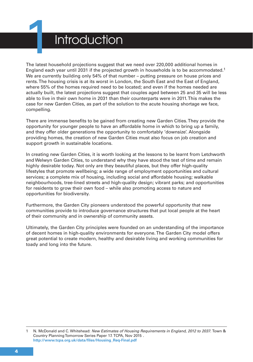

### **Introduction**

The latest household projections suggest that we need over 220,000 additional homes in England each year until 2031 if the projected growth in households is to be accommodated.<sup>1</sup> We are currently building only 54% of that number – putting pressure on house prices and rents. The housing crisis is at its worst in London, the South East and the East of England, where 55% of the homes required need to be located; and even if the homes needed are actually built, the latest projections suggest that couples aged between 25 and 35 will be less able to live in their own home in 2031 than their counterparts were in 2011. This makes the case for new Garden Cities, as part of the solution to the acute housing shortage we face, compelling.

There are immense benefits to be gained from creating new Garden Cities. They provide the opportunity for younger people to have an affordable home in which to bring up a family, and they offer older generations the opportunity to comfortably 'downsize'. Alongside providing homes, the creation of new Garden Cities must also focus on job creation and support growth in sustainable locations.

In creating new Garden Cities, it is worth looking at the lessons to be learnt from Letchworth and Welwyn Garden Cities, to understand why they have stood the test of time and remain highly desirable today. Not only are they beautiful places, but they offer high-quality lifestyles that promote wellbeing; a wide range of employment opportunities and cultural services; a complete mix of housing, including social and affordable housing; walkable neighbourhoods, tree-lined streets and high-quality design; vibrant parks; and opportunities for residents to grow their own food – while also promoting access to nature and opportunities for biodiversity.

Furthermore, the Garden City pioneers understood the powerful opportunity that new communities provide to introduce governance structures that put local people at the heart of their community and in ownership of community assets.

Ultimately, the Garden City principles were founded on an understanding of the importance of decent homes in high-quality environments for everyone. The Garden City model offers great potential to create modern, healthy and desirable living and working communities for toady and long into the future.

<sup>1</sup> N. McDonald and C. Whitehead: New Estimates of Housing Requirements in England, 2012 to 2037. Town & Country Planning Tomorrow Series Paper 17. TCPA, Nov 2015 . **http://www.tcpa.org.uk/data/files/Housing\_Req-Final.pdf**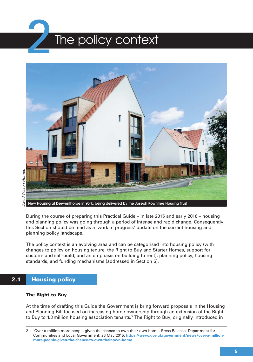



David Wilson Homes David Wilson Homes

**New Housing at Derwenthorpe in York, being delivered by the Joseph Rowntree Housing Trust**

During the course of preparing this Practical Guide – in late 2015 and early 2016 – housing and planning policy was going through a period of intense and rapid change. Consequently this Section should be read as a 'work in progress' update on the current housing and planning policy landscape.

The policy context is an evolving area and can be categorised into housing policy (with changes to policy on housing tenure, the Right to Buy and Starter Homes, support for custom- and self-build, and an emphasis on building to rent), planning policy, housing standards, and funding mechanisms (addressed in Section 5).

### **2.1 Housing policy**

#### **The Right to Buy**

At the time of drafting this Guide the Government is bring forward proposals in the Housing and Planning Bill focused on increasing home-ownership through an extension of the Right to Buy to 1.3 million housing association tenants.<sup>2</sup> The Right to Buy, originally introduced in

<sup>2 &#</sup>x27;Over a million more people given the chance to own their own home'. Press Release. Department for Communities and Local Government, 26 May 2015. **https://www.gov.uk/government/news/over-a-millionmore-people-given-the-chance-to-own-their-own-home**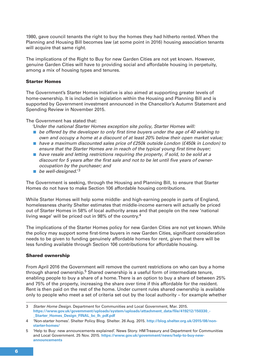1980, gave council tenants the right to buy the homes they had hitherto rented. When the Planning and Housing Bill becomes law (at some point in 2016) housing association tenants will acquire that same right.

The implications of the Right to Buy for new Garden Cities are not yet known. However, genuine Garden Cities will have to providing social and affordable housing in perpetuity, among a mix of housing types and tenures.

#### **Starter Homes**

The Government's Starter Homes initiative is also aimed at supporting greater levels of home-ownership. It is included in legislation within the Housing and Planning Bill and is supported by Government investment announced in the Chancellor's Autumn Statement and Spending Review in November 2015.

#### The Government has stated that:

'Under the national Starter Homes exception site policy, Starter Homes will:

- be offered by the developer to only first time buyers under the age of 40 wishing to own and occupy a home at a discount of at least 20% below their open market value;
- have a maximum discounted sales price of £250k outside London (£450k in London) to ensure that the Starter Homes are in reach of the typical young first time buyer;
- $\blacksquare$  have resale and letting restrictions requiring the property, if sold, to be sold at a discount for 5 years after the first sale and not to be let until five years of owneroccupation by the purchaser; and
- be well-designed. $^3$

The Government is seeking, through the Housing and Planning Bill, to ensure that Starter Homes do not have to make Section 106 affordable housing contributions.

While Starter Homes will help some middle- and high-earning people in parts of England, homelessness charity Shelter estimates that middle-income earners will actually be priced out of Starter Homes in 58% of local authority areas and that people on the new 'national living wage' will be priced out in 98% of the country.4

The implications of the Starter Homes policy for new Garden Cities are not yet known. While the policy may support some first-time buyers in new Garden Cities, significant consideration needs to be given to funding genuinely affordable homes for rent, given that there will be less funding available through Section 106 contributions for affordable housing.

#### **Shared ownership**

From April 2016 the Government will remove the current restrictions on who can buy a home through shared ownership.<sup>5</sup> Shared ownership is a useful form of intermediate tenure, enabling people to buy a share of a home. There is an option to buy a share of between 25% and 75% of the property, increasing the share over time if this affordable for the resident. Rent is then paid on the rest of the home. Under current rules shared ownership is available only to people who meet a set of criteria set out by the local authority – for example whether

<sup>3</sup> Starter Home Design. Department for Communities and Local Government, Mar. 2015. **https://www.gov.uk/government/uploads/system/uploads/attachment\_data/file/419212/150330\_- \_Starter\_Homes\_Design\_FINAL\_bc\_lh\_pdf.pdf**

<sup>4 &#</sup>x27;Non-starter homes'. Shelter Policy Blog. Shelter. 26 Aug. 2015. **http://blog.shelter.org.uk/2015/08/nonstarter-homes/**

<sup>5 &#</sup>x27;Help to Buy: new announcements explained'. News Story. HM Treasury and Department for Communities and Local Government. 25 Nov. 2015. **https://www.gov.uk/government/news/help-to-buy-newannouncements**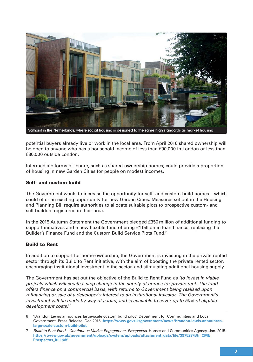

**Vathorst in the Netherlands, where social housing is designed to the same high standards as market housing**

potential buyers already live or work in the local area. From April 2016 shared ownership will be open to anyone who has a household income of less than £90,000 in London or less than £80,000 outside London.

Intermediate forms of tenure, such as shared-ownership homes, could provide a proportion of housing in new Garden Cities for people on modest incomes.

#### **Self- and custom-build**

The Government wants to increase the opportunity for self- and custom-build homes – which could offer an exciting opportunity for new Garden Cities. Measures set out in the Housing and Planning Bill require authorities to allocate suitable plots to prospective custom- and self-builders registered in their area.

In the 2015 Autumn Statement the Government pledged £350 million of additional funding to support initiatives and a new flexible fund offering £1 billion in loan finance, replacing the Builder's Finance Fund and the Custom Build Service Plots Fund.<sup>6</sup>

#### **Build to Rent**

In addition to support for home-ownership, the Government is investing in the private rented sector through its Build to Rent initiative, with the aim of boosting the private rented sector, encouraging institutional investment in the sector, and stimulating additional housing supply.

The Government has set out the objective of the Build to Rent Fund as 'to invest in viable projects which will create a step-change in the supply of homes for private rent. The fund offers finance on a commercial basis, with returns to Government being realised upon refinancing or sale of a developer's interest to an institutional investor. The Government's investment will be made by way of a loan, and is available to cover up to 50% of eligible development costs.'<sup>7</sup>

<sup>6 &#</sup>x27;Brandon Lewis announces large-scale custom build pilot'. Department for Communities and Local Government. Press Release. Dec 2015. **https://www.gov.uk/government/news/brandon-lewis-announceslarge-scale-custom-build-pilot**

<sup>7</sup> Build to Rent Fund – Continuous Market Engagement. Prospectus. Homes and Communities Agency. Jan. 2015. **https://www.gov.uk/government/uploads/system/uploads/attachment\_data/file/397523/Btr\_CME\_ Prospectus\_full.pdf**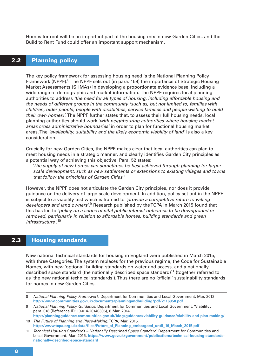Homes for rent will be an important part of the housing mix in new Garden Cities, and the Build to Rent Fund could offer an important support mechanism.

### **2.2 Planning policy**

The key policy framework for assessing housing need is the National Planning Policy Framework (NPPF).<sup>8</sup> The NPPF sets out (in para. 159) the importance of Strategic Housing Market Assessments (SHMAs) in developing a proportionate evidence base, including a wide range of demographic and market information. The NPPF requires local planning authorities to address 'the need for all types of housing, including affordable housing and the needs of different groups in the community (such as, but not limited to, families with children, older people, people with disabilities, service families and people wishing to build their own homes)'. The NPPF further states that, to assess their full housing needs, local planning authorities should work 'with neighbouring authorities where housing market areas cross administrative boundaries' in order to plan for functional housing market areas. The 'availability, suitability and the likely economic viability of land' is also a key consideration.

Crucially for new Garden Cities, the NPPF makes clear that local authorities can plan to meet housing needs in a strategic manner, and clearly identifies Garden City principles as a potential way of achieving this objective. Para. 52 states:

'The supply of new homes can sometimes be best achieved through planning for larger scale development, such as new settlements or extensions to existing villages and towns that follow the principles of Garden Cities.'

However, the NPPF does not articulate the Garden City principles, nor does it provide guidance on the delivery of large-scale development. In addition, policy set out in the NPPF is subject to a viability test which is framed to 'provide a competitive return to willing developers and land owners'.<sup>9</sup> Research published by the TCPA in March 2015 found that this has led to 'policy on a series of vital public interest outcomes to be downgraded or removed, particularly in relation to affordable homes, building standards and green infrastructure'. 10

#### **2.3 Housing standards**

New national technical standards for housing in England were published in March 2015, with three Categories. The system replaces for the previous regime, the Code for Sustainable Homes, with new 'optional' building standards on water and access, and a nationally described space standard (the nationally described space standard)<sup>11</sup> (together referred to as 'the new national technical standards'). Thus there are no 'official' sustainability standards for homes in new Garden Cities.

<sup>8</sup> National Planning Policy Framework. Department for Communities and Local Government, Mar. 2012. **http://www.communities.gov.uk/documents/planningandbuilding/pdf/2116950.pdf** 

<sup>9</sup> National Planning Policy Guidance. Department for Communities and Local Government. 'Viability', para. 018 (Reference ID: 10-014-20140306), 6 Mar. 2014.

**http://planningguidance.communities.gov.uk/blog/guidance/viability-guidance/viability-and-plan-making/** 10 The Future of Planning and Place-Making. TCPA, Mar. 2015.

**http://www.tcpa.org.uk/data/files/Future\_of\_Planning\_embargoed\_until\_19\_March\_2015.pdf** 11 Technical Housing Standards – Nationally Described Space Standard. Department for Communities and Local Government, Mar. 2015. **https://www.gov.uk/government/publications/technical-housing-standards-**

**nationally-described-space-standard**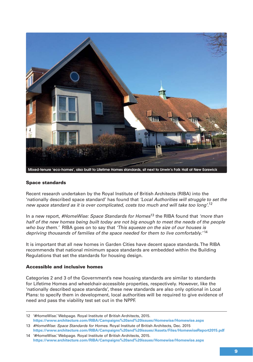

#### **Space standards**

Recent research undertaken by the Royal Institute of British Architects (RIBA) into the 'nationally described space standard' has found that 'Local Authorities will struggle to set the new space standard as it is over complicated, costs too much and will take too long'.<sup>12</sup>

In a new report, #HomeWise: Space Standards for Homes<sup>13</sup> the RIBA found that 'more than half of the new homes being built today are not big enough to meet the needs of the people who buy them.' RIBA goes on to say that 'This squeeze on the size of our houses is depriving thousands of families of the space needed for them to live comfortably.'<sup>14</sup>

It is important that all new homes in Garden Cities have decent space standards. The RIBA recommends that national minimum space standards are embedded within the Building Regulations that set the standards for housing design.

#### **Accessible and inclusive homes**

Categories 2 and 3 of the Government's new housing standards are similar to standards for Lifetime Homes and wheelchair-accessible properties, respectively. However, like the 'nationally described space standards', these new standards are also only optional in Local Plans: to specify them in development, local authorities will be required to give evidence of need and pass the viability test set out in the NPPF.

<sup>12 &#</sup>x27;#HomeWise.' Webpage. Royal Institute of British Architects, 2015. **https://www.architecture.com/RIBA/Campaigns%20and%20issues/Homewise/Homewise.aspx**

<sup>13 #</sup>HomeWise: Space Standards for Homes. Royal Institute of British Architects, Dec. 2015 **https://www.architecture.com/RIBA/Campaigns%20and%20issues/Assets/Files/HomewiseReport2015.pdf**

<sup>14 &#</sup>x27;#HomeWise.' Webpage. Royal Institute of British Architects, 2015. **https://www.architecture.com/RIBA/Campaigns%20and%20issues/Homewise/Homewise.aspx**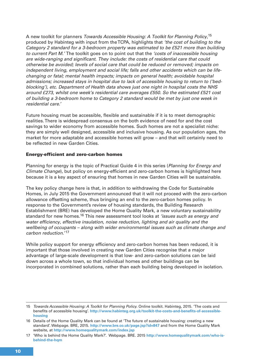A new toolkit for planners *Towards Accessible Housing: A Toolkit for Planning Policy*,<sup>15</sup> produced by Habinteg with input from the TCPA, highlights that 'the cost of building to the Category 2 standard for a 3-bedroom property was estimated to be £521 more than building to current Part M.' The toolkit goes on to point out that the 'costs of inaccessible housing are wide-ranging and significant. They include: the costs of residential care that could otherwise be avoided; levels of social care that could be reduced or removed; impacts on independent living, employment and social life; falls and other accidents which can be lifechanging or fatal; mental health impacts; impacts on general health; avoidable hospital admissions; increased stays in hospital due to lack of accessible housing to return to ('bedblocking'), etc. Department of Health data shows just one night in hospital costs the NHS around £273, whilst one week's residential care averages £550. So the estimated £521 cost of building a 3-bedroom home to Category 2 standard would be met by just one week in residential care.'

Future housing must be accessible, flexible and sustainable if it is to meet demographic realities. There is widespread consensus on the both evidence of need for and the cost savings to wider economy from accessible homes. Such homes are not a specialist niche: they are simply well designed, accessible and inclusive housing. As our population ages, the market for more adaptable and accessible homes will grow – and that will certainly need to be reflected in new Garden Cities.

#### **Energy-efficient and zero-carbon homes**

Planning for energy is the topic of Practical Guide 4 in this series (Planning for Energy and Climate Change), but policy on energy-efficient and zero-carbon homes is highlighted here because it is a key aspect of ensuring that homes in new Garden Cities will be sustainable.

The key policy change here is that, in addition to withdrawing the Code for Sustainable Homes, in July 2015 the Government announced that it will not proceed with the zero-carbon allowance offsetting scheme, thus bringing an end to the zero-carbon homes policy. In response to the Government's review of housing standards, the Building Research Establishment (BRE) has developed the Home Quality Mark, a new voluntary sustainability standard for new homes.<sup>16</sup> This new assessment tool looks at *'issues such as energy and* water efficiency, effective insulation, noise reduction, lighting and air quality and the wellbeing of occupants – along with wider environmental issues such as climate change and carbon reduction.'17

While policy support for energy efficiency and zero-carbon homes has been reduced, it is important that those involved in creating new Garden Cities recognise that a major advantage of large-scale development is that low- and zero-carbon solutions can be laid down across a whole town, so that individual homes and other buildings can be incorporated in combined solutions, rather than each building being developed in isolation.

<sup>15</sup> Towards Accessible Housing: A Toolkit for Planning Policy. Online toolkit. Habinteg, 2015. 'The costs and benefits of accessible housing'. **http://www.habinteg.org.uk/toolkit-the-costs-and-benefits-of-accessiblehousing**

<sup>16</sup> Details of the Home Quality Mark can be found at 'The future of sustainable housing: creating a new standard'. Webpage. BRE, 2015. **http://www.bre.co.uk/page.jsp?id=847** and from the Home Quality Mark website, at **http://www.homequalitymark.com/index.jsp**

<sup>17 &#</sup>x27;Who is behind the Home Quality Mark?'. Webpage. BRE. 2015 **http://www.homequalitymark.com/who-isbehind-the-hqm**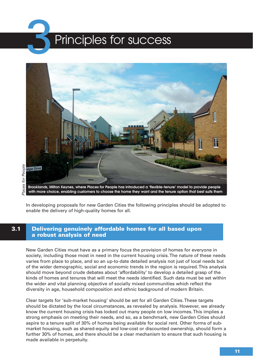## Principles for success



**Brooklands, Milton Keynes, where Places for People has introduced a 'flexible-tenure' model to provide people with more choice, enabling customers to choose the home they want and the tenure option that best suits them**

In developing proposals for new Garden Cities the following principles should be adopted to enable the delivery of high-quality homes for all.

#### **3.1 Delivering genuinely affordable homes for all based upon a robust analysis of need**

New Garden Cities must have as a primary focus the provision of homes for everyone in society, including those most in need in the current housing crisis. The nature of these needs varies from place to place, and so an up-to-date detailed analysis not just of local needs but of the wider demographic, social and economic trends in the region is required. This analysis should move beyond crude debates about 'affordability' to develop a detailed grasp of the kinds of homes and tenures that will meet the needs identified. Such data must be set within the wider and vital planning objective of socially mixed communities which reflect the diversity in age, household composition and ethnic background of modern Britain.

Clear targets for 'sub-market housing' should be set for all Garden Cities. These targets should be dictated by the local circumstances, as revealed by analysis. However, we already know the current housing crisis has locked out many people on low incomes. This implies a strong emphasis on meeting their needs, and so, as a benchmark, new Garden Cities should aspire to a tenure split of 30% of homes being available for social rent. Other forms of submarket housing, such as shared-equity and low-cost or discounted ownership, should form a further 30% of homes, and there should be a clear mechanism to ensure that such housing is made available in perpetuity.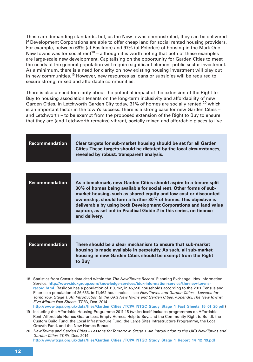These are demanding standards, but, as the New Towns demonstrated, they can be delivered if Development Corporations are able to offer cheap land for social rented housing providers. For example, between 69% (at Basildon) and 97% (at Peterlee) of housing in the Mark One New Towns was for social rent<sup>18</sup> – although it is worth noting that both of these examples are large-scale new development. Capitalising on the opportunity for Garden Cities to meet the needs of the general population will require significant element public sector investment. As a minimum, there is a need for clarity on how existing housing investment will play out in new communities.<sup>19</sup> However, new resources as loans or subsidies will be required to secure strong, mixed and affordable communities.

There is also a need for clarity about the potential impact of the extension of the Right to Buy to housing association tenants on the long-term inclusivity and affordability of new Garden Cities. In Letchworth Garden City today,  $31\%$  of homes are socially rented,<sup>20</sup> which is an important factor in the town's success. There is a strong case for new Garden Cities – and Letchworth – to be exempt from the proposed extension of the Right to Buy to ensure that they are (and Letchworth remains) vibrant, socially mixed and affordable places to live.

| <b>Recommendation</b> | Clear targets for sub-market housing should be set for all Garden<br>Cities. These targets should be dictated by the local circumstances,<br>revealed by robust, transparent analysis.                                                                                                                                                                                                                                                      |
|-----------------------|---------------------------------------------------------------------------------------------------------------------------------------------------------------------------------------------------------------------------------------------------------------------------------------------------------------------------------------------------------------------------------------------------------------------------------------------|
|                       |                                                                                                                                                                                                                                                                                                                                                                                                                                             |
| <b>Recommendation</b> | As a benchmark, new Garden Cities should aspire to a tenure split<br>30% of homes being available for social rent. Other forms of sub-<br>market housing, such as shared-equity and low-cost or discounted<br>ownership, should form a further 30% of homes. This objective is<br>deliverable by using both Development Corporations and land value<br>capture, as set out in Practical Guide 2 in this series, on finance<br>and delivery. |

| Recommendation | There should be a clear mechanism to ensure that sub-market<br>housing is made available in perpetuity. As such, all sub-market |
|----------------|---------------------------------------------------------------------------------------------------------------------------------|
|                | housing in new Garden Cities should be exempt from the Right<br>to Buy.                                                         |

18 Statistics from Census data cited within the The New Towns Record. Planning Exchange. Idox Information Service. **http://www.idoxgroup.com/knowledge-services/idox-information-service/the-new-townsrecord.html** Basildon has a population of 110,762, in 45,558 households according to the 2011 Census and Peterlee a population of 26,633, in 11,462 households – see New Towns and Garden Cities – Lessons for Tomorrow. Stage 1: An Introduction to the UK's New Towns and Garden Cities. Appendix. The New Towns: Five-Minute Fact Sheets. TCPA, Dec. 2014. **http://www.tcpa.org.uk/data/files/Garden\_Cities\_/TCPA\_NTGC\_Study\_Stage\_1\_Fact\_Sheets\_15\_01\_20.pdf**)

19 Including the Affordable Housing Programme 2011-15 (which itself includes programmes on Affordable Rent, Affordable Homes Guarantees, Empty Homes, Help to Buy, and the Community Right to Build), the Custom Build Fund, the Local Infrastructure Fund, the Large Sites Infrastructure Programme, the Local Growth Fund, and the New Homes Bonus

20 New Towns and Garden Cities – Lessons for Tomorrow. Stage 1: An Introduction to the UK's New Towns and Garden Cities. TCPA, Dec. 2014. **http://www.tcpa.org.uk/data/files/Garden\_Cities\_/TCPA\_NTGC\_Study\_Stage\_1\_Report\_14\_12\_19.pdf**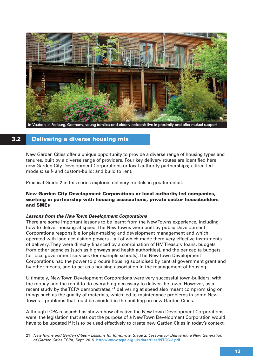

**In Vauban, in Freiburg, Germany, young families and elderly residents live in proximity and offer mutual support**

### **3.2 Delivering a diverse housing mix**

New Garden Cities offer a unique opportunity to provide a diverse range of housing types and tenures, built by a diverse range of providers. Four key delivery routes are identified here: new Garden City Development Corporations or local authority partnerships; citizen-led models; self- and custom-build; and build to rent.

Practical Guide 2 in this series explores delivery models in greater detail.

#### **New Garden City Development Corporations or local authority-led companies, working in partnership with housing associations, private sector housebuilders and SMEs**

#### **Lessons from the New Town Development Corporations**

There are some important lessons to be learnt from the New Towns experience, including how to deliver housing at speed. The New Towns were built by public Development Corporations responsible for plan-making and development management and which operated with land acquisition powers – all of which made them very effective instruments of delivery. They were directly financed by a combination of HM Treasury loans, budgets from other agencies (such as highways and health authorities), and the per capita budgets for local government services (for example schools). The New Town Development Corporations had the power to procure housing subsidised by central government grant and by other means, and to act as a housing association in the management of housing.

Ultimately, New Town Development Corporations were very successful town-builders, with the money and the remit to do everything necessary to deliver the town. However, as a recent study by the TCPA demonstrates, $21$  delivering at speed also meant compromising on things such as the quality of materials, which led to maintenance problems in some New Towns – problems that must be avoided in the building on new Garden Cities.

Although TCPA research has shown how effective the New Town Development Corporations were, the legislation that sets out the purpose of a New Town Development Corporation would have to be updated if it is to be used effectively to create new Garden Cities in today's context.

<sup>21</sup> New Towns and Garden Cities – Lessons for Tomorrow. Stage 2: Lessons for Delivering a New Generation of Garden Cities. TCPA, Sept. 2015. **http://www.tcpa.org.uk/data/files/NTGC-2.pdf**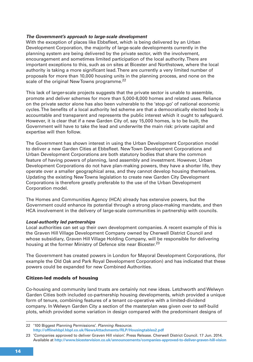#### **The Government's approach to large-scale development**

With the exception of places like Ebbsfleet, which is being delivered by an Urban Development Corporation, the majority of large-scale developments currently in the planning system are being delivered by the private sector, with the involvement, encouragement and sometimes limited participation of the local authority. There are important exceptions to this, such as on sites at Bicester and Northstowe, where the local authority is taking a more significant lead. There are currently a very limited number of proposals for more than 10,000 housing units in the planning process, and none on the scale of the original New Towns programme.<sup>22</sup>

This lack of larger-scale projects suggests that the private sector is unable to assemble, promote and deliver schemes for more than 5,000-8,000 homes and related uses. Reliance on the private sector alone has also been vulnerable to the 'stop-go' of national economic cycles. The benefits of a local authority led scheme are that a democratically elected body is accountable and transparent and represents the public interest which it ought to safeguard. However, it is clear that if a new Garden City of, say 15,000 homes, is to be built, the Government will have to take the lead and underwrite the main risk: private capital and expertise will then follow.

The Government has shown interest in using the Urban Development Corporation model to deliver a new Garden Cities at Ebbsfleet. New Town Development Corporations and Urban Development Corporations are both statutory bodies that share the common feature of having powers of planning, land assembly and investment. However, Urban Development Corporations do not have plan-making powers, they have a shorter life, they operate over a smaller geographical area, and they cannot develop housing themselves. Updating the existing New Towns legislation to create new Garden City Development Corporations is therefore greatly preferable to the use of the Urban Development Corporation model.

The Homes and Communities Agency (HCA) already has extensive powers, but the Government could enhance its potential through a strong place-making mandate, and then HCA involvement in the delivery of large-scale communities in partnership with councils.

#### **Local-authority led partnerships**

Local authorities can set up their own development companies. A recent example of this is the Graven Hill Village Development Company owned by Cherwell District Council and whose subsidiary, Graven Hill Village Holding Company, will be responsible for delivering housing at the former Ministry of Defence site near Bicester.<sup>23</sup>

The Government has created powers in London for Mayoral Development Corporations, (for example the Old Oak and Park Royal Development Corporation) and has indicated that these powers could be expanded for new Combined Authorities.

#### **Citizen-led models of housing**

Co-housing and community land trusts are certainly not new ideas. Letchworth and Welwyn Garden Cities both included co-partnership housing developments, which provided a unique form of tenure, combining features of a tenant co-operative with a limited-dividend company. In Welwyn Garden City a section of the masterplan was given over to self-build plots, which provided some variation in design compared with the predominant designs of

<sup>22 &#</sup>x27;100 Biggest Planning Permissions'. Planning Resource. **http://offlinehbpl.hbpl.co.uk/NewsAttachments/RLP/Housingtables2.pdf**

<sup>23 &#</sup>x27;Companies approved to deliver Graven Hill vision'. Press Release. Cherwell District Council. 17 Jun. 2014. Available at **http://www.bicestervision.co.uk/announcements/companies-approved-to-deliver-graven-hill-vision**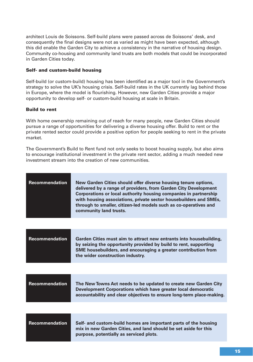architect Louis de Soissons. Self-build plans were passed across de Soissons' desk, and consequently the final designs were not as varied as might have been expected, although this did enable the Garden City to achieve a consistency in the narrative of housing design. Community co-housing and community land trusts are both models that could be incorporated in Garden Cities today.

#### **Self- and custom-build housing**

Self-build (or custom-build) housing has been identified as a major tool in the Government's strategy to solve the UK's housing crisis. Self-build rates in the UK currently lag behind those in Europe, where the model is flourishing. However, new Garden Cities provide a major opportunity to develop self- or custom-build housing at scale in Britain.

#### **Build to rent**

With home ownership remaining out of reach for many people, new Garden Cities should pursue a range of opportunities for delivering a diverse housing offer. Build to rent or the private rented sector could provide a positive option for people seeking to rent in the private market.

The Government's Build to Rent fund not only seeks to boost housing supply, but also aims to encourage institutional investment in the private rent sector, adding a much needed new investment stream into the creation of new communities.

| Recommendation | New Garden Cities should offer diverse housing tenure options,<br>delivered by a range of providers, from Garden City Development<br>Corporations or local authority housing companies in partnership<br>with housing associations, private sector housebuilders and SMEs,<br>through to smaller, citizen-led models such as co-operatives and<br>community land trusts. |
|----------------|--------------------------------------------------------------------------------------------------------------------------------------------------------------------------------------------------------------------------------------------------------------------------------------------------------------------------------------------------------------------------|
|----------------|--------------------------------------------------------------------------------------------------------------------------------------------------------------------------------------------------------------------------------------------------------------------------------------------------------------------------------------------------------------------------|

| Recommendation | Garden Cities must aim to attract new entrants into housebuilding,<br>by seizing the opportunity provided by build to rent, supporting<br>SME housebuilders, and encouraging a greater contribution from<br>the wider construction industry. |
|----------------|----------------------------------------------------------------------------------------------------------------------------------------------------------------------------------------------------------------------------------------------|
|----------------|----------------------------------------------------------------------------------------------------------------------------------------------------------------------------------------------------------------------------------------------|

| Recommendation | The New Towns Act needs to be updated to create new Garden City<br>Development Corporations which have greater local democratic<br>accountability and clear objectives to ensure long-term place-making. |
|----------------|----------------------------------------------------------------------------------------------------------------------------------------------------------------------------------------------------------|
|                |                                                                                                                                                                                                          |

**Recommendation Self- and custom-build homes are important parts of the housing mix in new Garden Cities, and land should be set aside for this purpose, potentially as serviced plots.**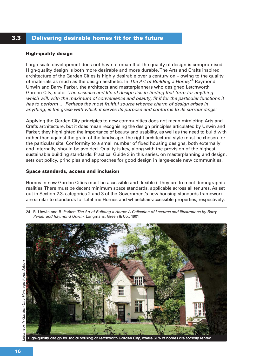### **3.3 Delivering desirable homes fit for the future**

#### **High-quality design**

Large-scale development does not have to mean that the quality of design is compromised. High-quality design is both more desirable and more durable. The Arts and Crafts inspired architecture of the Garden Cities is highly desirable over a century on – owing to the quality of materials as much as the design aesthetic. In The Art of Building a Home,<sup>24</sup> Raymond Unwin and Barry Parker, the architects and masterplanners who designed Letchworth Garden City, state: 'The essence and life of design lies in finding that form for anything which will, with the maximum of convenience and beauty, fit if for the particular functions it has to perform … Perhaps the most fruitful source whence charm of design arises in anything, is the grace with which it serves its purpose and conforms to its surroundings.'

Applying the Garden City principles to new communities does not mean mimicking Arts and Crafts architecture, but it does mean recognising the design principles articulated by Unwin and Parker; they highlighted the importance of beauty and usability, as well as the need to build with rather than against the grain of the landscape. The right architectural style must be chosen for the particular site. Conformity to a small number of fixed housing designs, both externally and internally, should be avoided. Quality is key, along with the provision of the highest sustainable building standards. Practical Guide 3 in this series, on masterplanning and design, sets out policy, principles and approaches for good design in large-scale new communities.

#### **Space standards, access and inclusion**

Homes in new Garden Cities must be accessible and flexible if they are to meet demographic realities. There must be decent minimum space standards, applicable across all tenures. As set out in Section 2.3, categories 2 and 3 of the Government's new housing standards framework are similar to standards for Lifetime Homes and wheelchair-accessible properties, respectively.

24 R. Unwin and B. Parker: The Art of Building a Home: A Collection of Lectures and Illustrations by Barry Parker and Raymond Unwin. Longmans, Green & Co., 1901



**High-quality design for social housing at Letchworth Garden City, where 31% of homes are socially rented**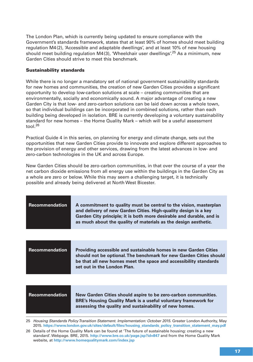The London Plan, which is currently being updated to ensure compliance with the Government's standards framework, states that at least 90% of homes should meet building regulation M4(2), 'Accessible and adaptable dwellings', and at least 10% of new housing should meet building regulation  $M4(3)$ , 'Wheelchair user dwellings'.<sup>25</sup> As a minimum, new Garden Cities should strive to meet this benchmark.

#### **Sustainability standards**

While there is no longer a mandatory set of national government sustainability standards for new homes and communities, the creation of new Garden Cities provides a significant opportunity to develop low-carbon solutions at scale – creating communities that are environmentally, socially and economically sound. A major advantage of creating a new Garden City is that low- and zero-carbon solutions can be laid down across a whole town, so that individual buildings can be incorporated in combined solutions, rather than each building being developed in isolation. BRE is currently developing a voluntary sustainability standard for new homes – the Home Quality Mark – which will be a useful assessment tool.26

Practical Guide 4 in this series, on planning for energy and climate change, sets out the opportunities that new Garden Cities provide to innovate and explore different approaches to the provision of energy and other services, drawing from the latest advances in low- and zero-carbon technologies in the UK and across Europe.

New Garden Cities should be zero-carbon communities, in that over the course of a year the net carbon dioxide emissions from all energy use within the buildings in the Garden City as a whole are zero or below. While this may seem a challenging target, it is technically possible and already being delivered at North West Bicester.

| <b>Recommendation</b> | A commitment to quality must be central to the vision, masterplan<br>and delivery of new Garden Cities. High-quality design is a key<br>Garden City principle; it is both more desirable and durable, and is<br>as much about the quality of materials as the design aesthetic. |
|-----------------------|---------------------------------------------------------------------------------------------------------------------------------------------------------------------------------------------------------------------------------------------------------------------------------|
|                       |                                                                                                                                                                                                                                                                                 |
| <b>Recommendation</b> | <b>Providing accessible and sustainable homes in new Garden Cities</b><br>should not be optional. The benchmark for new Garden Cities should<br>be that all new homes meet the space and accessibility standards<br>set out in the London Plan.                                 |
|                       |                                                                                                                                                                                                                                                                                 |
| <b>Recommendation</b> | New Garden Cities should aspire to be zero-carbon communities.<br><b>BRE's Housing Quality Mark is a useful voluntary framework for</b><br>assessing the quality and sustainability of new homes.                                                                               |

<sup>25</sup> Housing Standards Policy Transition Statement. Implementation: October 2015. Greater London Authority, May 2015. **https://www.london.gov.uk/sites/default/files/housing\_standards\_policy\_transition\_statement\_may.pdf**

<sup>26</sup> Details of the Home Quality Mark can be found at 'The future of sustainable housing: creating a new standard'. Webpage. BRE, 2015. **http://www.bre.co.uk/page.jsp?id=847** and from the Home Quality Mark website, at **http://www.homequalitymark.com/index.jsp**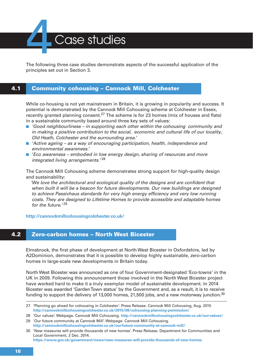Case studies

The following three case studies demonstrate aspects of the successful application of the principles set out in Section 3.

#### **4.1 Community cohousing – Cannock Mill, Colchester**

While co-housing is not yet mainstream in Britain, it is growing in popularity and success. It potential is demonstrated by the Cannock Mill Cohousing scheme at Colchester in Essex, recently granted planning consent.<sup>27</sup> The scheme is for 23 homes (mix of houses and flats) in a sustainable community based around three key sets of values:

- 'Good neighbourliness in supporting each other within the cohousing community and in making a positive contribution to the social, economic and cultural life of our locality, Old Heath, Colchester and the surrounding area.'
- 'Active ageing as a way of encouraging participation, health, independence and environmental awareness.'
- 'Eco awareness embodied in low energy design, sharing of resources and more integrated living arrangements.<sup>'28</sup>

The Cannock Mill Cohousing scheme demonstrates strong support for high-quality design and sustainability:

'We love the architectural and ecological quality of the designs and are confident that when built it will be a beacon for future developments. Our new buildings are designed to achieve Passivhaus standards for very high energy efficiency and very low running costs. They are designed to Lifetime Homes to provide accessible and adaptable homes for the future.'<sup>29</sup>

**http://cannockmillcohousingcolchester.co.uk/**

#### **4.2 Zero-carbon homes – North West Bicester**

Elmsbrook, the first phase of development at North West Bicester in Oxfordshire, led by A2Dominion, demonstrates that it is possible to develop highly sustainable, zero-carbon homes in large-scale new developments in Britain today.

North West Bicester was announced as one of four Government-designated 'Eco-towns' in the UK in 2009. Following this announcement those involved in the North West Bicester project have worked hard to make it a truly exemplar model of sustainable development. In 2014 Bicester was awarded 'Garden Town status' by the Government and, as a result, it is to receive funding to support the delivery of 13,000 homes, 21,500 jobs, and a new motorway junction.<sup>30</sup>

<sup>27 &#</sup>x27;Planning go ahead for cohousing in Colchester'. Press Release. Cannock Mill Cohousing, Aug. 2015 **http://cannockmillcohousingcolchester.co.uk/2015/08/cohousing-planning-permission/**

<sup>28 &#</sup>x27;Our values'. Webpage. Cannock Mill Cohousing. **http://cannockmillcohousingcolchester.co.uk/our-values/**

<sup>29 &#</sup>x27;Our future community at Cannock Mill'. Webpage. Cannock Mill Cohousing. **http://cannockmillcohousingcolchester.co.uk/our-future-community-at-cannock-mill/**

<sup>30 &#</sup>x27;New measures will provide thousands of new homes'. Press Release. Department for Communities and Local Government, 2 Dec. 2014. **https://www.gov.uk/government/news/new-measures-will-provide-thousands-of-new-homes**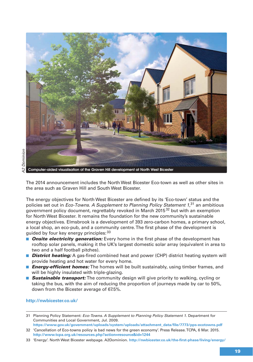

**Computer-aided visualisation of the Graven Hill development at North West Bicester**

The 2014 announcement includes the North West Bicester Eco-town as well as other sites in the area such as Graven Hill and South West Bicester.

The energy objectives for North West Bicester are defined by its 'Eco-town' status and the policies set out in *Eco-Towns. A Supplement to Planning Policy Statement 1*,<sup>31</sup> an ambitious government policy document, regrettably revoked in March 2015<sup>32</sup> but with an exemption for North West Bicester. It remains the foundation for the new community's sustainable energy objectives. Elmsbrook is a development of 393 zero-carbon homes, a primary school, a local shop, an eco-pub, and a community centre. The first phase of the development is guided by four key energy principles: <sup>33</sup>

- *Onsite electricity generation:* Every home in the first phase of the development has rooftop solar panels, making it the UK's largest domestic solar array (equivalent in area to two and a half football pitches).
- *District heating:* A gas-fired combined heat and power (CHP) district heating system will provide heating and hot water for every home.
- *Energy-efficient homes:* The homes will be built sustainably, using timber frames, and will be highly insulated with triple-glazing.
- **Sustainable transport:** The community design will give priority to walking, cycling or taking the bus, with the aim of reducing the proportion of journeys made by car to 50%, down from the Bicester average of 67.5%.

#### **http://nwbicester.co.uk/**

<sup>31</sup> Planning Policy Statement: Eco-Towns. A Supplement to Planning Policy Statement 1. Department for Communities and Local Government, Jul. 2009.

**https://www.gov.uk/government/uploads/system/uploads/attachment\_data/file/7773/pps-ecotowns.pdf** 32 'Cancellation of Eco-towns policy is bad news for the green economy'. Press Release. TCPA, 6 Mar. 2015. **http://www.tcpa.org.uk/resources.php?action=resource&id=1244**

<sup>33 &#</sup>x27;Energy'. North West Bicester webpage. A2Dominion. **http://nwbicester.co.uk/the-first-phase/living/energy/**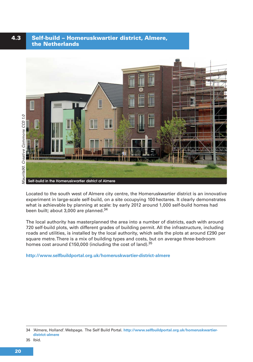#### **4.3 Self-build – Homeruskwartier district, Almere, the Netherlands**



Located to the south west of Almere city centre, the Homeruskwartier district is an innovative experiment in large-scale self-build, on a site occupying 100 hectares. It clearly demonstrates what is achievable by planning at scale: by early 2012 around 1,000 self-build homes had been built; about 3,000 are planned.<sup>34</sup>

The local authority has masterplanned the area into a number of districts, each with around 720 self-build plots, with different grades of building permit. All the infrastructure, including roads and utilities, is installed by the local authority, which sells the plots at around £290 per square metre. There is a mix of building types and costs, but on average three-bedroom homes cost around £150,000 (including the cost of land).<sup>35</sup>

**http://www.selfbuildportal.org.uk/homeruskwartier-district-almere**

<sup>34 &#</sup>x27;Almere, Holland'. Webpage. The Self Build Portal. **http://www.selfbuildportal.org.uk/homeruskwartierdistrict-almere**

<sup>35</sup> Ibid.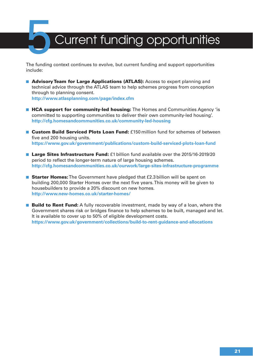## Current funding opportunities

The funding context continues to evolve, but current funding and support opportunities include:

- **Advisory Team for Large Applications (ATLAS):** Access to expert planning and technical advice through the ATLAS team to help schemes progress from conception through to planning consent. **http://www.atlasplanning.com/page/index.cfm**
- HCA support for community-led housing: The Homes and Communities Agency 'is committed to supporting communities to deliver their own community-led housing'. **http://cfg.homesandcommunities.co.uk/community-led-housing**
- **Custom Build Serviced Plots Loan Fund:** £150 million fund for schemes of between five and 200 housing units. **https://www.gov.uk/government/publications/custom-build-serviced-plots-loan-fund**
- **Large Sites Infrastructure Fund:** £1 billion fund available over the 2015/16-2019/20 period to reflect the longer-term nature of large housing schemes. **http://cfg.homesandcommunities.co.uk/ourwork/large-sites-infrastructure-programme**
- **Starter Homes:** The Government have pledged that £2.3 billion will be spent on building 200,000 Starter Homes over the next five years. This money will be given to housebuilders to provide a 20% discount on new homes. **http://www.new-homes.co.uk/starter-homes/**
- **Build to Rent Fund:** A fully recoverable investment, made by way of a loan, where the Government shares risk or bridges finance to help schemes to be built, managed and let. It is available to cover up to 50% of eligible development costs. **https://www.gov.uk/government/collections/build-to-rent-guidance-and-allocations**